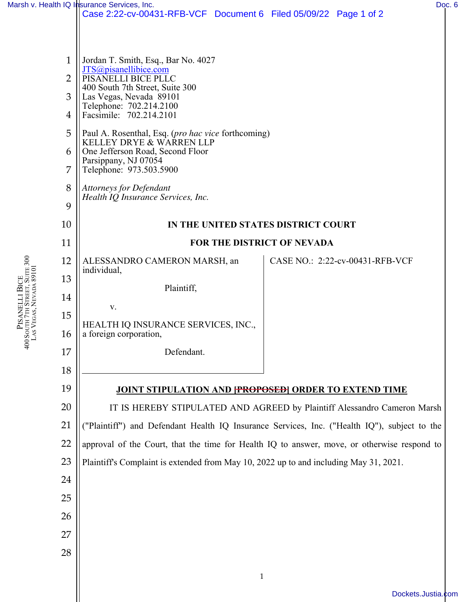|                                                                    |                | Marsh v. Health IQ Insurance Services, Inc.                                                                                                                                                                                                                                                                                                                                 |                                 | Doc. 6 |  |
|--------------------------------------------------------------------|----------------|-----------------------------------------------------------------------------------------------------------------------------------------------------------------------------------------------------------------------------------------------------------------------------------------------------------------------------------------------------------------------------|---------------------------------|--------|--|
|                                                                    |                | Case 2:22-cv-00431-RFB-VCF Document 6 Filed 05/09/22 Page 1 of 2                                                                                                                                                                                                                                                                                                            |                                 |        |  |
|                                                                    |                |                                                                                                                                                                                                                                                                                                                                                                             |                                 |        |  |
|                                                                    | $\mathbf{1}$   | Jordan T. Smith, Esq., Bar No. 4027                                                                                                                                                                                                                                                                                                                                         |                                 |        |  |
|                                                                    | $\overline{2}$ | JTS@pisanellibice.com<br>PISANELLI BICE PLLC<br>400 South 7th Street, Suite 300<br>Las Vegas, Nevada 89101<br>Telephone: 702.214.2100<br>Facsimile: 702.214.2101<br>Paul A. Rosenthal, Esq. (pro hac vice forthcoming)<br>KELLEY DRYE & WARREN LLP<br>One Jefferson Road, Second Floor<br>Parsippany, NJ 07054<br>Telephone: 973.503.5900<br><b>Attorneys for Defendant</b> |                                 |        |  |
|                                                                    | 3              |                                                                                                                                                                                                                                                                                                                                                                             |                                 |        |  |
|                                                                    | 4              |                                                                                                                                                                                                                                                                                                                                                                             |                                 |        |  |
|                                                                    | 5              |                                                                                                                                                                                                                                                                                                                                                                             |                                 |        |  |
|                                                                    | 6              |                                                                                                                                                                                                                                                                                                                                                                             |                                 |        |  |
|                                                                    | 7              |                                                                                                                                                                                                                                                                                                                                                                             |                                 |        |  |
|                                                                    | 8              |                                                                                                                                                                                                                                                                                                                                                                             |                                 |        |  |
|                                                                    | 9              | Health IQ Insurance Services, Inc.                                                                                                                                                                                                                                                                                                                                          |                                 |        |  |
|                                                                    | 10             | IN THE UNITED STATES DISTRICT COURT                                                                                                                                                                                                                                                                                                                                         |                                 |        |  |
|                                                                    | 11             | FOR THE DISTRICT OF NEVADA                                                                                                                                                                                                                                                                                                                                                  |                                 |        |  |
|                                                                    | 12             | ALESSANDRO CAMERON MARSH, an                                                                                                                                                                                                                                                                                                                                                | CASE NO.: 2:22-cv-00431-RFB-VCF |        |  |
|                                                                    | 13             | individual,                                                                                                                                                                                                                                                                                                                                                                 |                                 |        |  |
| jth 7th Street, Suite 300<br>Vegas, Nevada 89101<br>PISANELLI BICE | 14             | Plaintiff,                                                                                                                                                                                                                                                                                                                                                                  |                                 |        |  |
|                                                                    | 15             | V.                                                                                                                                                                                                                                                                                                                                                                          |                                 |        |  |
| SOUT                                                               | 16             | HEALTH IQ INSURANCE SERVICES, INC.,<br>a foreign corporation,                                                                                                                                                                                                                                                                                                               |                                 |        |  |
| 400                                                                | 17             | Defendant.                                                                                                                                                                                                                                                                                                                                                                  |                                 |        |  |
|                                                                    | 18             |                                                                                                                                                                                                                                                                                                                                                                             |                                 |        |  |
|                                                                    | 19             | JOINT STIPULATION AND FROPOSED ORDER TO EXTEND TIME                                                                                                                                                                                                                                                                                                                         |                                 |        |  |
|                                                                    | 20             | IT IS HEREBY STIPULATED AND AGREED by Plaintiff Alessandro Cameron Marsh                                                                                                                                                                                                                                                                                                    |                                 |        |  |
|                                                                    | 21             | ("Plaintiff") and Defendant Health IQ Insurance Services, Inc. ("Health IQ"), subject to the                                                                                                                                                                                                                                                                                |                                 |        |  |
|                                                                    | 22             | approval of the Court, that the time for Health IQ to answer, move, or otherwise respond to                                                                                                                                                                                                                                                                                 |                                 |        |  |
|                                                                    | 23             | Plaintiff's Complaint is extended from May 10, 2022 up to and including May 31, 2021.                                                                                                                                                                                                                                                                                       |                                 |        |  |
|                                                                    | 24             |                                                                                                                                                                                                                                                                                                                                                                             |                                 |        |  |
|                                                                    | 25             |                                                                                                                                                                                                                                                                                                                                                                             |                                 |        |  |
|                                                                    | 26             |                                                                                                                                                                                                                                                                                                                                                                             |                                 |        |  |

27

28